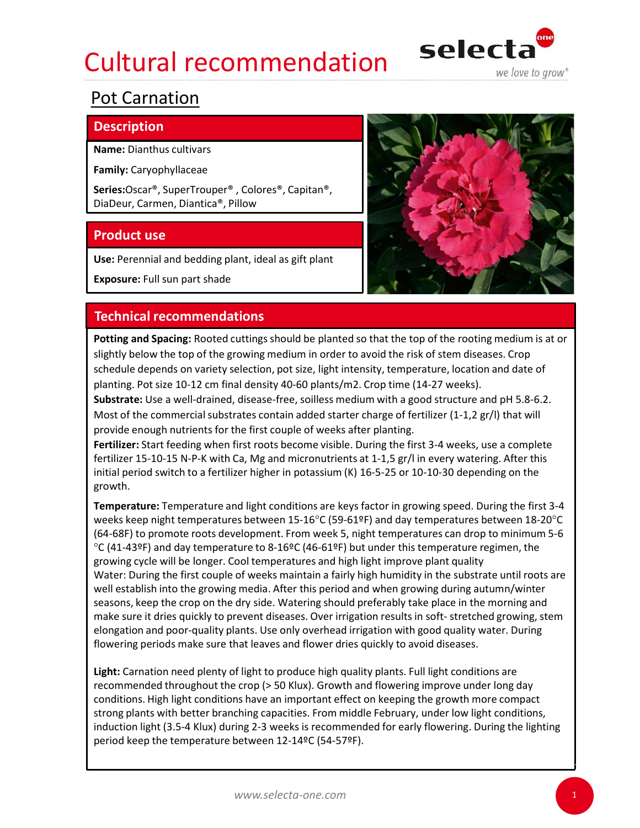## Cultural recommendation selecta



## Pot Carnation

## **Description**

Name: Dianthus cultivars

Family: Caryophyllaceae

Series:Oscar®, SuperTrouper® , Colores®, Capitan®, DiaDeur, Carmen, Diantica®, Pillow

Use: Perennial and bedding plant, ideal as gift plant

Exposure: Full sun part shade



Potting and Spacing: Rooted cuttings should be planted so that the top of the rooting medium is at or slightly below the top of the growing medium in order to avoid the risk of stem diseases. Crop schedule depends on variety selection, pot size, light intensity, temperature, location and date of planting. Pot size 10-12 cm final density 40-60 plants/m2. Crop time (14-27 weeks).

Substrate: Use a well-drained, disease-free, soilless medium with a good structure and pH 5.8-6.2. Most of the commercial substrates contain added starter charge of fertilizer (1-1,2 gr/l) that will provide enough nutrients for the first couple of weeks after planting.

Fertilizer: Start feeding when first roots become visible. During the first 3-4 weeks, use a complete fertilizer 15-10-15 N-P-K with Ca, Mg and micronutrients at 1-1,5 gr/l in every watering. After this initial period switch to a fertilizer higher in potassium (K) 16-5-25 or 10-10-30 depending on the growth.

Temperature: Temperature and light conditions are keys factor in growing speed. During the first 3-4 weeks keep night temperatures between 15-16°C (59-61ºF) and day temperatures between 18-20°C (64-68F) to promote roots development. From week 5, night temperatures can drop to minimum 5-6  $°C$  (41-43ºF) and day temperature to 8-16ºC (46-61ºF) but under this temperature regimen, the growing cycle will be longer. Cool temperatures and high light improve plant quality **Technical recommendations**<br> **Pothrig and Spacing:** Rooted cuttings should be planted so that the top of the rooting medium is at or<br>
Brightly below the top of the growing medium in order to avoid the risk of stem diseases well establish into the growing media. After this period and when growing during autumn/winter seasons, keep the crop on the dry side. Watering should preferably take place in the morning and syrenty enow the top or the growing meal and or the same in the rase of stem ossesses. Copp<br>schedule depends on variety selection, pot size, light intensity, temperature, location and date of<br>planting. Pot size 10-12 cm fi elongation and poor-quality plants. Use only overhead irrigation with good quality water. During flowering periods make sure that leaves and flower dries quickly to avoid diseases. initial period switch to a fertilizer higher in potassium (K) 16-5-25 or 10-10-30 depending on the<br>irowh.<br>
Temperature: Temperature and light conditions are keys factor in growing speed. During the first 3-4<br>
weeks keep ni

Light: Carnation need plenty of light to produce high quality plants. Full light conditions are recommended throughout the crop (> 50 Klux). Growth and flowering improve under long day conditions. High light conditions have an important effect on keeping the growth more compact strong plants with better branching capacities. From middle February, under low light conditions, period keep the temperature between 12-14ºC (54-57ºF).

1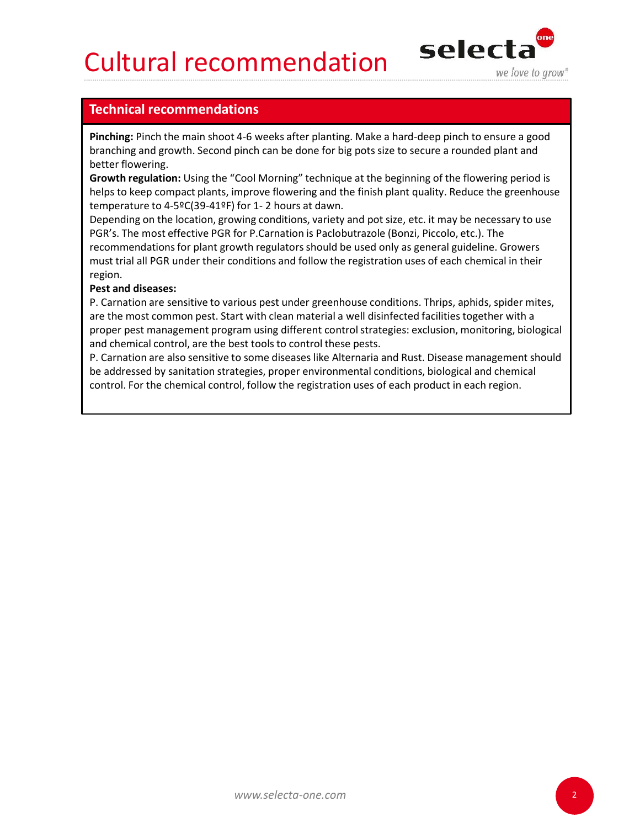## Cultural recommendation selecta



**Cultural recommendations<br>
Technical recommendations<br>
Pinching: Pinch the main shoot 4-6 weeks after planting. Make a hard-deep pinch to e<br>
branching and growth. Second pinch can be done for big pots size to secure a round** Pinching: Pinch the main shoot 4-6 weeks after planting. Make a hard-deep pinch to ensure a good branching and growth. Second pinch can be done for big pots size to secure a rounded plant and better flowering.

Growth regulation: Using the "Cool Morning" technique at the beginning of the flowering period is helps to keep compact plants, improve flowering and the finish plant quality. Reduce the greenhouse

**Cultural recommendations**<br> **Technical recommendations**<br> **Technical recommendations**<br> **Pinching:** Pinch the main shoot 4-6 weeks after planting. Make a hard-deep pinch to ensure a good<br>
branching and growth. Second pinch c Depending on the location, growing conditions, variety and pot size, etc. it may be necessary to use **Cultural recommendations**<br> **Pinching: Pinch the main shoot 4-6 weeks after planting.** Make a hard-deep pinch to ensure a good branching and growth. Second pinch can be done for big pots size to secure a rounded plant and recommendations for plant growth regulators should be used only as general guideline. Growers must trial all PGR under their conditions and follow the registration uses of each chemical in their region.

## Pest and diseases:

P. Carnation are sensitive to various pest under greenhouse conditions. Thrips, aphids, spider mites, are the most common pest. Start with clean material a well disinfected facilities together with a proper pest management program using different control strategies: exclusion, monitoring, biological and chemical control, are the best tools to control these pests.

P. Carnation are also sensitive to some diseases like Alternaria and Rust. Disease management should be addressed by sanitation strategies, proper environmental conditions, biological and chemical control. For the chemical control, follow the registration uses of each product in each region.